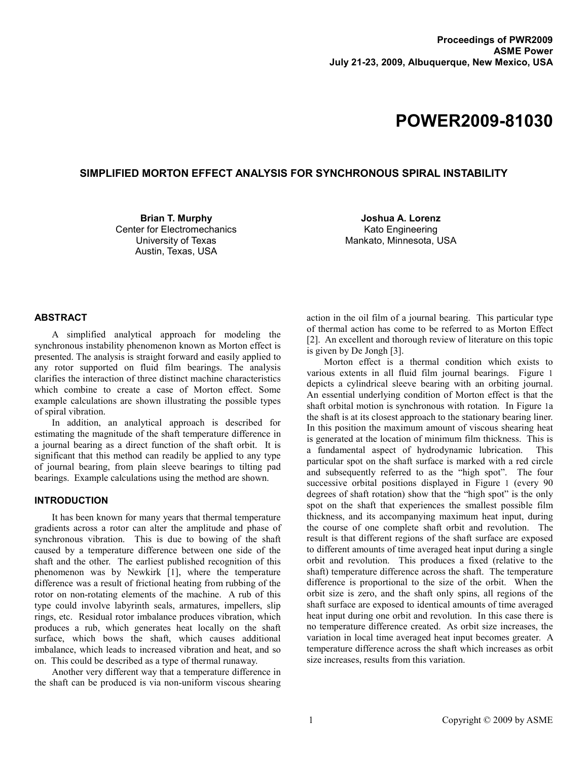# **POWER2009-81030**

# **SIMPLIFIED MORTON EFFECT ANALYSIS FOR SYNCHRONOUS SPIRAL INSTABILITY**

**Brian T. Murphy**  Center for Electromechanics University of Texas Austin, Texas, USA

**Joshua A. Lorenz**  Kato Engineering Mankato, Minnesota, USA

### **ABSTRACT**

A simplified analytical approach for modeling the synchronous instability phenomenon known as Morton effect is presented. The analysis is straight forward and easily applied to any rotor supported on fluid film bearings. The analysis clarifies the interaction of three distinct machine characteristics which combine to create a case of Morton effect. Some example calculations are shown illustrating the possible types of spiral vibration.

In addition, an analytical approach is described for estimating the magnitude of the shaft temperature difference in a journal bearing as a direct function of the shaft orbit. It is significant that this method can readily be applied to any type of journal bearing, from plain sleeve bearings to tilting pad bearings. Example calculations using the method are shown.

#### **INTRODUCTION**

It has been known for many years that thermal temperature gradients across a rotor can alter the amplitude and phase of synchronous vibration. This is due to bowing of the shaft caused by a temperature difference between one side of the shaft and the other. The earliest published recognition of this phenomenon was by Newkirk [1], where the temperature difference was a result of frictional heating from rubbing of the rotor on non-rotating elements of the machine. A rub of this type could involve labyrinth seals, armatures, impellers, slip rings, etc. Residual rotor imbalance produces vibration, which produces a rub, which generates heat locally on the shaft surface, which bows the shaft, which causes additional imbalance, which leads to increased vibration and heat, and so on. This could be described as a type of thermal runaway.

Another very different way that a temperature difference in the shaft can be produced is via non-uniform viscous shearing action in the oil film of a journal bearing. This particular type of thermal action has come to be referred to as Morton Effect [2]. An excellent and thorough review of literature on this topic is given by De Jongh [3].

Morton effect is a thermal condition which exists to various extents in all fluid film journal bearings. Figure 1 depicts a cylindrical sleeve bearing with an orbiting journal. An essential underlying condition of Morton effect is that the shaft orbital motion is synchronous with rotation. In Figure 1a the shaft is at its closest approach to the stationary bearing liner. In this position the maximum amount of viscous shearing heat is generated at the location of minimum film thickness. This is a fundamental aspect of hydrodynamic lubrication. This particular spot on the shaft surface is marked with a red circle and subsequently referred to as the "high spot". The four successive orbital positions displayed in Figure 1 (every 90) degrees of shaft rotation) show that the "high spot" is the only spot on the shaft that experiences the smallest possible film thickness, and its accompanying maximum heat input, during the course of one complete shaft orbit and revolution. The result is that different regions of the shaft surface are exposed to different amounts of time averaged heat input during a single orbit and revolution. This produces a fixed (relative to the shaft) temperature difference across the shaft. The temperature difference is proportional to the size of the orbit. When the orbit size is zero, and the shaft only spins, all regions of the shaft surface are exposed to identical amounts of time averaged heat input during one orbit and revolution. In this case there is no temperature difference created. As orbit size increases, the variation in local time averaged heat input becomes greater. A temperature difference across the shaft which increases as orbit size increases, results from this variation.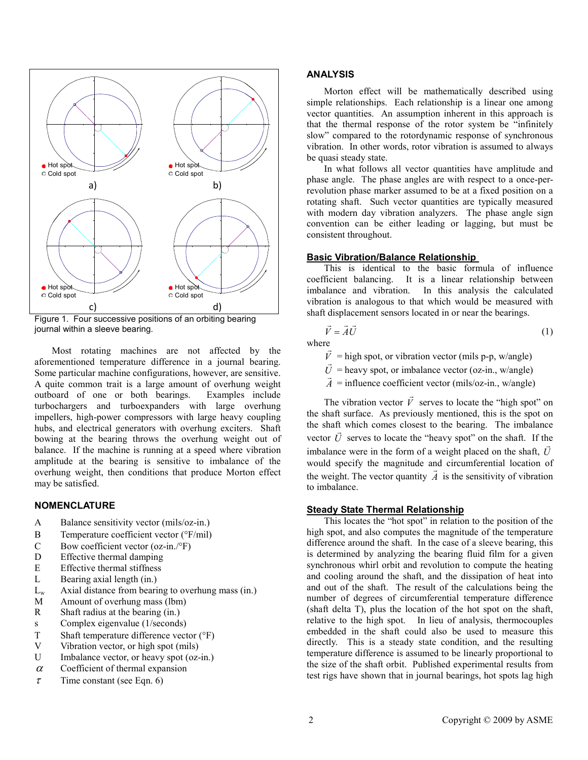

Figure 1. Four successive positions of an orbiting bearing journal within a sleeve bearing.

Most rotating machines are not affected by the aforementioned temperature difference in a journal bearing. Some particular machine configurations, however, are sensitive. A quite common trait is a large amount of overhung weight outboard of one or both bearings. Examples include turbochargers and turboexpanders with large overhung impellers, high-power compressors with large heavy coupling hubs, and electrical generators with overhung exciters. Shaft bowing at the bearing throws the overhung weight out of balance. If the machine is running at a speed where vibration amplitude at the bearing is sensitive to imbalance of the overhung weight, then conditions that produce Morton effect may be satisfied.

# **NOMENCLATURE**

- A Balance sensitivity vector (mils/oz-in.)
- B Temperature coefficient vector (°F/mil)
- C Bow coefficient vector  $(oz-in.^{\circ}F)$
- D Effective thermal damping
- E Effective thermal stiffness
- L Bearing axial length (in.)
- $L_w$  Axial distance from bearing to overhung mass (in.)<br>M Amount of overhung mass (lbm)
- Amount of overhung mass (lbm)
- R Shaft radius at the bearing (in.)
- s Complex eigenvalue (1/seconds)
- T Shaft temperature difference vector (°F)
- V Vibration vector, or high spot (mils)
- U Imbalance vector, or heavy spot (oz-in.)
- $\alpha$  Coefficient of thermal expansion
- $\tau$  Time constant (see Eqn. 6)

#### **ANALYSIS**

Morton effect will be mathematically described using simple relationships. Each relationship is a linear one among vector quantities. An assumption inherent in this approach is that the thermal response of the rotor system be "infinitely slow" compared to the rotordynamic response of synchronous vibration. In other words, rotor vibration is assumed to always be quasi steady state.

In what follows all vector quantities have amplitude and phase angle. The phase angles are with respect to a once-perrevolution phase marker assumed to be at a fixed position on a rotating shaft. Such vector quantities are typically measured with modern day vibration analyzers. The phase angle sign convention can be either leading or lagging, but must be consistent throughout.

#### **Basic Vibration/Balance Relationship**

This is identical to the basic formula of influence coefficient balancing. It is a linear relationship between imbalance and vibration. In this analysis the calculated vibration is analogous to that which would be measured with shaft displacement sensors located in or near the bearings.

$$
\vec{V} = \vec{A}\vec{U} \tag{1}
$$

where  $\overline{a}$ 

 $V =$  high spot, or vibration vector (mils p-p, w/angle)

- $U =$  heavy spot, or imbalance vector (oz-in., w/angle)
- $A =$  influence coefficient vector (mils/oz-in., w/angle)

The vibration vector *V*  $\overline{a}$  serves to locate the "high spot" on the shaft surface. As previously mentioned, this is the spot on the shaft which comes closest to the bearing. The imbalance vector  $U$  serves to locate the "heavy spot" on the shaft. If the imbalance were in the form of a weight placed on the shaft,  $\vec{U}$ would specify the magnitude and circumferential location of the weight. The vector quantity  $A$  is the sensitivity of vibration to imbalance.

## **Steady State Thermal Relationship**

This locates the "hot spot" in relation to the position of the high spot, and also computes the magnitude of the temperature difference around the shaft. In the case of a sleeve bearing, this is determined by analyzing the bearing fluid film for a given synchronous whirl orbit and revolution to compute the heating and cooling around the shaft, and the dissipation of heat into and out of the shaft. The result of the calculations being the number of degrees of circumferential temperature difference (shaft delta T), plus the location of the hot spot on the shaft, relative to the high spot. In lieu of analysis, thermocouples embedded in the shaft could also be used to measure this directly. This is a steady state condition, and the resulting temperature difference is assumed to be linearly proportional to the size of the shaft orbit. Published experimental results from test rigs have shown that in journal bearings, hot spots lag high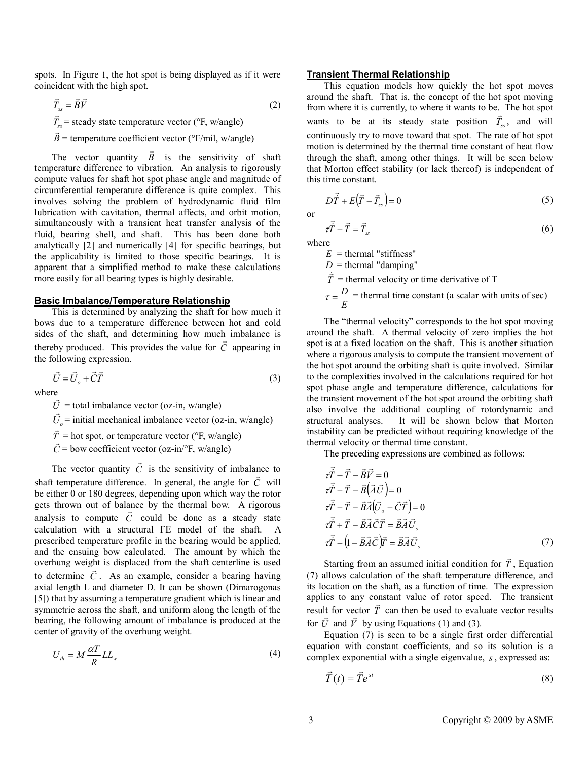spots. In Figure 1, the hot spot is being displayed as if it were coincident with the high spot.

 $T_{ss} = BV$  $\overline{r}$  r  $\overline{r}$  $= BV$  (2) *Tss* r = steady state temperature vector (°F, w/angle) *B*  $\frac{1}{x}$ = temperature coefficient vector (°F/mil, w/angle)

The vector quantity *B*  $\overline{a}$  is the sensitivity of shaft temperature difference to vibration. An analysis to rigorously compute values for shaft hot spot phase angle and magnitude of circumferential temperature difference is quite complex. This involves solving the problem of hydrodynamic fluid film lubrication with cavitation, thermal affects, and orbit motion, simultaneously with a transient heat transfer analysis of the fluid, bearing shell, and shaft. This has been done both analytically [2] and numerically [4] for specific bearings, but the applicability is limited to those specific bearings. It is apparent that a simplified method to make these calculations more easily for all bearing types is highly desirable.

#### **Basic Imbalance/Temperature Relationship**

This is determined by analyzing the shaft for how much it bows due to a temperature difference between hot and cold sides of the shaft, and determining how much imbalance is thereby produced. This provides the value for *C* appearing in the following expression.

$$
\vec{U} = \vec{U}_o + \vec{C}\vec{T}
$$
 (3)

where  $\frac{1}{x}$ 

 $U =$ total imbalance vector (oz-in, w/angle)

 $U<sub>o</sub>$  = initial mechanical imbalance vector (oz-in, w/angle)  $\overline{a}$ 

*T*  $T =$  hot spot, or temperature vector (°F, w/angle)

 $\hat{C}$  = bow coefficient vector (oz-in/ $\hat{C}$ F, w/angle)  $\overline{a}$ 

The vector quantity *C* is the sensitivity of imbalance to shaft temperature difference. In general, the angle for *C* will be either 0 or 180 degrees, depending upon which way the rotor gets thrown out of balance by the thermal bow. A rigorous analysis to compute *C* could be done as a steady state calculation with a structural FE model of the shaft. A prescribed temperature profile in the bearing would be applied, and the ensuing bow calculated. The amount by which the overhung weight is displaced from the shaft centerline is used to determine *C* . As an example, consider a bearing having axial length L and diameter D. It can be shown (Dimarogonas [5]) that by assuming a temperature gradient which is linear and symmetric across the shaft, and uniform along the length of the bearing, the following amount of imbalance is produced at the center of gravity of the overhung weight.

$$
U_{th} = M \frac{\alpha T}{R} L L_{w}
$$
\n<sup>(4)</sup>

#### **Transient Thermal Relationship**

This equation models how quickly the hot spot moves around the shaft. That is, the concept of the hot spot moving from where it is currently, to where it wants to be. The hot spot wants to be at its steady state position  $T_{ss}$ , and will continuously try to move toward that spot. The rate of hot spot motion is determined by the thermal time constant of heat flow through the shaft, among other things. It will be seen below that Morton effect stability (or lack thereof) is independent of this time constant.  $\overline{a}$ 

$$
D\vec{\dot{T}} + E(\vec{T} - \vec{T}_{ss}) = 0 \tag{5}
$$

or

$$
\vec{t} \cdot \vec{T} + \vec{T} = \vec{T}_{ss} \tag{6}
$$

where

 $\overline{a}$ 

 $E =$  thermal "stiffness"

 $D =$  thermal "damping"

$$
\dot{\vec{T}} = \text{thermal velocity or time derivative of T}
$$
\n
$$
\tau = \frac{D}{E} = \text{thermal time constant (a scalar with units of sec)}
$$

The "thermal velocity" corresponds to the hot spot moving around the shaft. A thermal velocity of zero implies the hot spot is at a fixed location on the shaft. This is another situation where a rigorous analysis to compute the transient movement of the hot spot around the orbiting shaft is quite involved. Similar to the complexities involved in the calculations required for hot spot phase angle and temperature difference, calculations for the transient movement of the hot spot around the orbiting shaft also involve the additional coupling of rotordynamic and structural analyses. It will be shown below that Morton instability can be predicted without requiring knowledge of the thermal velocity or thermal time constant.

The preceding expressions are combined as follows:  $\overline{a}$ 

$$
\begin{aligned}\n\vec{t} \cdot \vec{T} + \vec{T} - \vec{B}\vec{V} &= 0 \\
\vec{t} \cdot \vec{T} + \vec{T} - \vec{B}(\vec{A}\vec{U}) &= 0 \\
\vec{t} \cdot \vec{T} + \vec{T} - \vec{B}\vec{A}(\vec{U}_o + \vec{C}\vec{T}) &= 0 \\
\vec{t} \cdot \vec{T} + \vec{T} - \vec{B}\vec{A}\vec{C}\vec{T} &= \vec{B}\vec{A}\vec{U}_o \\
\vec{t} \cdot \vec{T} + (1 - \vec{B}\vec{A}\vec{C})\vec{T} &= \vec{B}\vec{A}\vec{U}_o\n\end{aligned} \tag{7}
$$

Starting from an assumed initial condition for *T*  $\overline{a}$ , Equation (7) allows calculation of the shaft temperature difference, and its location on the shaft, as a function of time. The expression applies to any constant value of rotor speed. The transient result for vector  $\overline{T}$  can then be used to evaluate vector results for *U* and *V* by using Equations (1) and (3).

Equation (7) is seen to be a single first order differential equation with constant coefficients, and so its solution is a complex exponential with a single eigenvalue, *s* , expressed as:

$$
\vec{T}(t) = \vec{T}e^{st} \tag{8}
$$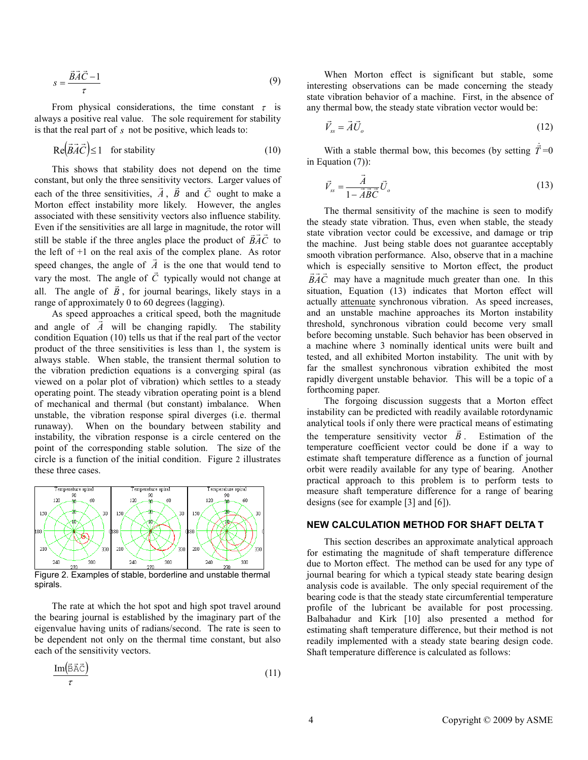$$
s = \frac{\vec{B}\vec{A}\vec{C} - 1}{\tau} \tag{9}
$$

From physical considerations, the time constant  $\tau$  is always a positive real value. The sole requirement for stability is that the real part of *s* not be positive, which leads to:

$$
Re(\vec{B}\vec{A}\vec{C}) \le 1 \quad \text{for stability} \tag{10}
$$

This shows that stability does not depend on the time constant, but only the three sensitivity vectors. Larger values of each of the three sensitivities,  $A$ ,  $B$  and  $C$  ought to make a Morton effect instability more likely. However, the angles associated with these sensitivity vectors also influence stability. Even if the sensitivities are all large in magnitude, the rotor will still be stable if the three angles place the product of *BAC* to the left of  $+1$  on the real axis of the complex plane. As rotor speed changes, the angle of  $\overrightarrow{A}$  is the one that would tend to vary the most. The angle of  $C$  typically would not change at all. The angle of  $B$ , for journal bearings, likely stays in a range of approximately 0 to 60 degrees (lagging).

As speed approaches a critical speed, both the magnitude and angle of *A* will be changing rapidly. The stability condition Equation (10) tells us that if the real part of the vector product of the three sensitivities is less than 1, the system is always stable. When stable, the transient thermal solution to the vibration prediction equations is a converging spiral (as viewed on a polar plot of vibration) which settles to a steady operating point. The steady vibration operating point is a blend of mechanical and thermal (but constant) imbalance. When unstable, the vibration response spiral diverges (i.e. thermal runaway). When on the boundary between stability and instability, the vibration response is a circle centered on the point of the corresponding stable solution. The size of the circle is a function of the initial condition. Figure 2 illustrates these three cases.



Figure 2. Examples of stable, borderline and unstable thermal spirals.

The rate at which the hot spot and high spot travel around the bearing journal is established by the imaginary part of the eigenvalue having units of radians/second. The rate is seen to be dependent not only on the thermal time constant, but also each of the sensitivity vectors.

$$
\frac{\text{Im}(\vec{\mathbf{B}}\vec{\mathbf{A}}\vec{\mathbf{C}})}{\tau} \tag{11}
$$

When Morton effect is significant but stable, some interesting observations can be made concerning the steady state vibration behavior of a machine. First, in the absence of any thermal bow, the steady state vibration vector would be:

$$
\vec{V}_{ss} = \vec{A}\vec{U}_o \tag{12}
$$

With a stable thermal bow, this becomes (by setting  $\dot{\vec{T}}$ =0 in Equation (7)):

$$
\vec{V}_{ss} = \frac{\vec{A}}{1 - \vec{A}\vec{B}\vec{C}} \vec{U}_o
$$
\n(13)

The thermal sensitivity of the machine is seen to modify the steady state vibration. Thus, even when stable, the steady state vibration vector could be excessive, and damage or trip the machine. Just being stable does not guarantee acceptably smooth vibration performance. Also, observe that in a machine which is especially sensitive to Morton effect, the product *BAC* may have a magnitude much greater than one. In this situation, Equation (13) indicates that Morton effect will actually attenuate synchronous vibration. As speed increases, and an unstable machine approaches its Morton instability threshold, synchronous vibration could become very small before becoming unstable. Such behavior has been observed in a machine where 3 nominally identical units were built and tested, and all exhibited Morton instability. The unit with by far the smallest synchronous vibration exhibited the most rapidly divergent unstable behavior. This will be a topic of a forthcoming paper.

The forgoing discussion suggests that a Morton effect instability can be predicted with readily available rotordynamic analytical tools if only there were practical means of estimating the temperature sensitivity vector  $\vec{B}$ . Estimation of the temperature coefficient vector could be done if a way to estimate shaft temperature difference as a function of journal orbit were readily available for any type of bearing. Another practical approach to this problem is to perform tests to measure shaft temperature difference for a range of bearing designs (see for example [3] and [6]).

# **NEW CALCULATION METHOD FOR SHAFT DELTA T**

This section describes an approximate analytical approach for estimating the magnitude of shaft temperature difference due to Morton effect. The method can be used for any type of journal bearing for which a typical steady state bearing design analysis code is available. The only special requirement of the bearing code is that the steady state circumferential temperature profile of the lubricant be available for post processing. Balbahadur and Kirk [10] also presented a method for estimating shaft temperature difference, but their method is not readily implemented with a steady state bearing design code. Shaft temperature difference is calculated as follows: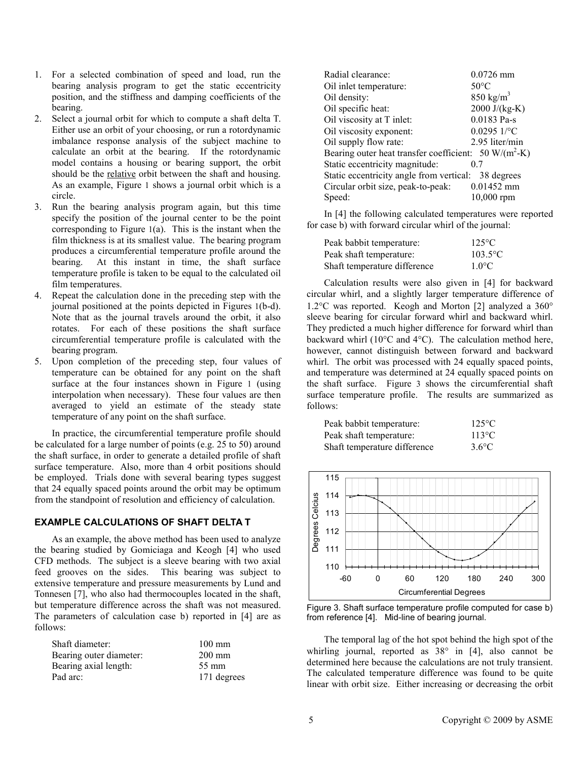- 1. For a selected combination of speed and load, run the bearing analysis program to get the static eccentricity position, and the stiffness and damping coefficients of the bearing.
- 2. Select a journal orbit for which to compute a shaft delta T. Either use an orbit of your choosing, or run a rotordynamic imbalance response analysis of the subject machine to calculate an orbit at the bearing. If the rotordynamic model contains a housing or bearing support, the orbit should be the relative orbit between the shaft and housing. As an example, Figure 1 shows a journal orbit which is a circle.
- 3. Run the bearing analysis program again, but this time specify the position of the journal center to be the point corresponding to Figure 1(a). This is the instant when the film thickness is at its smallest value. The bearing program produces a circumferential temperature profile around the bearing. At this instant in time, the shaft surface temperature profile is taken to be equal to the calculated oil film temperatures.
- 4. Repeat the calculation done in the preceding step with the journal positioned at the points depicted in Figures 1(b-d). Note that as the journal travels around the orbit, it also rotates. For each of these positions the shaft surface circumferential temperature profile is calculated with the bearing program.
- 5. Upon completion of the preceding step, four values of temperature can be obtained for any point on the shaft surface at the four instances shown in Figure 1 (using interpolation when necessary). These four values are then averaged to yield an estimate of the steady state temperature of any point on the shaft surface.

In practice, the circumferential temperature profile should be calculated for a large number of points (e.g. 25 to 50) around the shaft surface, in order to generate a detailed profile of shaft surface temperature. Also, more than 4 orbit positions should be employed. Trials done with several bearing types suggest that 24 equally spaced points around the orbit may be optimum from the standpoint of resolution and efficiency of calculation.

# **EXAMPLE CALCULATIONS OF SHAFT DELTA T**

As an example, the above method has been used to analyze the bearing studied by Gomiciaga and Keogh [4] who used CFD methods. The subject is a sleeve bearing with two axial feed grooves on the sides. This bearing was subject to extensive temperature and pressure measurements by Lund and Tonnesen [7], who also had thermocouples located in the shaft, but temperature difference across the shaft was not measured. The parameters of calculation case b) reported in [4] are as follows:

| Shaft diameter:         | $100 \text{ mm}$ |
|-------------------------|------------------|
| Bearing outer diameter: | $200 \text{ mm}$ |
| Bearing axial length:   | $55 \text{ mm}$  |
| Pad arc:                | 171 degrees      |

| Radial clearance:                                       | $0.0726$ mm             |
|---------------------------------------------------------|-------------------------|
| Oil inlet temperature:                                  | $50^{\circ}$ C          |
| Oil density:                                            | $850 \text{ kg/m}^3$    |
| Oil specific heat:                                      | $2000 \text{ J/(kg-K)}$ |
| Oil viscosity at T inlet:                               | $0.0183$ Pa-s           |
| Oil viscosity exponent:                                 | $0.0295$ 1/°C           |
| Oil supply flow rate:                                   | 2.95 liter/min          |
| Bearing outer heat transfer coefficient: $50 W/(m^2-K)$ |                         |
| Static eccentricity magnitude:                          | 07                      |
| Static eccentricity angle from vertical: 38 degrees     |                         |
| Circular orbit size, peak-to-peak:                      | $0.01452$ mm            |
| Speed:                                                  | $10,000$ rpm            |

In [4] the following calculated temperatures were reported for case b) with forward circular whirl of the journal:

| Peak babbit temperature:     | $125^{\circ}$ C |
|------------------------------|-----------------|
| Peak shaft temperature:      | $103.5$ °C      |
| Shaft temperature difference | $1.0^{\circ}$ C |

Calculation results were also given in [4] for backward circular whirl, and a slightly larger temperature difference of 1.2°C was reported. Keogh and Morton [2] analyzed a 360° sleeve bearing for circular forward whirl and backward whirl. They predicted a much higher difference for forward whirl than backward whirl (10 $^{\circ}$ C and 4 $^{\circ}$ C). The calculation method here, however, cannot distinguish between forward and backward whirl. The orbit was processed with 24 equally spaced points, and temperature was determined at 24 equally spaced points on the shaft surface. Figure 3 shows the circumferential shaft surface temperature profile. The results are summarized as follows:

| Peak babbit temperature:     | $125^{\circ}$ C |
|------------------------------|-----------------|
| Peak shaft temperature:      | $113^{\circ}$ C |
| Shaft temperature difference | $3.6^{\circ}$ C |



Figure 3. Shaft surface temperature profile computed for case b) from reference [4]. Mid-line of bearing journal.

The temporal lag of the hot spot behind the high spot of the whirling journal, reported as  $38^\circ$  in [4], also cannot be determined here because the calculations are not truly transient. The calculated temperature difference was found to be quite linear with orbit size. Either increasing or decreasing the orbit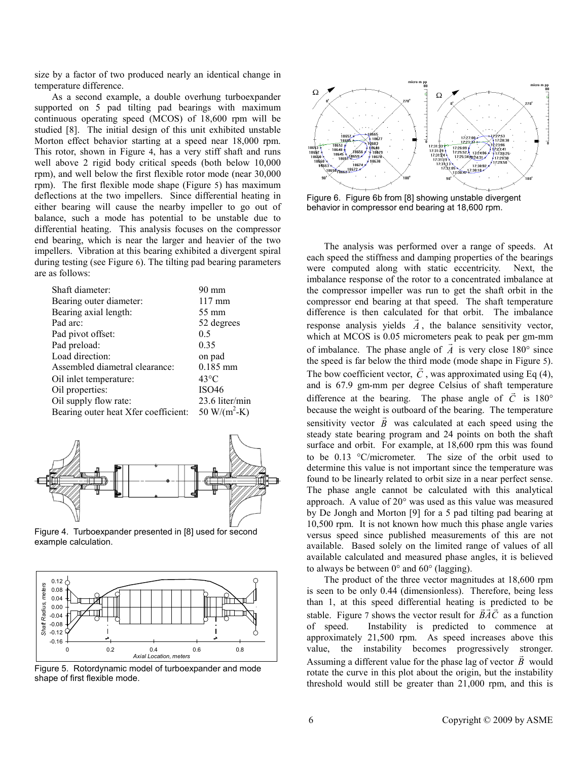size by a factor of two produced nearly an identical change in temperature difference.

As a second example, a double overhung turboexpander supported on 5 pad tilting pad bearings with maximum continuous operating speed (MCOS) of 18,600 rpm will be studied [8]. The initial design of this unit exhibited unstable Morton effect behavior starting at a speed near 18,000 rpm. This rotor, shown in Figure 4, has a very stiff shaft and runs well above 2 rigid body critical speeds (both below 10,000 rpm), and well below the first flexible rotor mode (near 30,000 rpm). The first flexible mode shape (Figure 5) has maximum deflections at the two impellers. Since differential heating in either bearing will cause the nearby impeller to go out of balance, such a mode has potential to be unstable due to differential heating. This analysis focuses on the compressor end bearing, which is near the larger and heavier of the two impellers. Vibration at this bearing exhibited a divergent spiral during testing (see Figure 6). The tilting pad bearing parameters are as follows:

| Shaft diameter:                      | $90 \text{ mm}$  |
|--------------------------------------|------------------|
| Bearing outer diameter:              | $117 \text{ mm}$ |
| Bearing axial length:                | 55 mm            |
| Pad arc:                             | 52 degrees       |
| Pad pivot offset:                    | 0.5              |
| Pad preload:                         | 0.35             |
| Load direction:                      | on pad           |
| Assembled diametral clearance:       | $0.185$ mm       |
| Oil inlet temperature:               | $43^{\circ}$ C   |
| Oil properties:                      | <b>ISO46</b>     |
| Oil supply flow rate:                | 23.6 liter/min   |
| Bearing outer heat Xfer coefficient: | 50 W/( $m^2$ -K) |



Figure 4. Turboexpander presented in [8] used for second example calculation.



Figure 5. Rotordynamic model of turboexpander and mode shape of first flexible mode.



Figure 6. Figure 6b from [8] showing unstable divergent behavior in compressor end bearing at 18,600 rpm.

The analysis was performed over a range of speeds. At each speed the stiffness and damping properties of the bearings were computed along with static eccentricity. Next, the imbalance response of the rotor to a concentrated imbalance at the compressor impeller was run to get the shaft orbit in the compressor end bearing at that speed. The shaft temperature difference is then calculated for that orbit. The imbalance response analysis yields *A* , the balance sensitivity vector, which at MCOS is  $0.05$  micrometers peak to peak per gm-mm of imbalance. The phase angle of *A* is very close 180° since the speed is far below the third mode (mode shape in Figure 5). The bow coefficient vector,  $\hat{C}$ , was approximated using Eq (4), and is 67.9 gm-mm per degree Celsius of shaft temperature difference at the bearing. The phase angle of *C* is 180° because the weight is outboard of the bearing. The temperature sensitivity vector  $\vec{B}$  was calculated at each speed using the steady state bearing program and 24 points on both the shaft surface and orbit. For example, at 18,600 rpm this was found to be 0.13 °C/micrometer. The size of the orbit used to determine this value is not important since the temperature was found to be linearly related to orbit size in a near perfect sense. The phase angle cannot be calculated with this analytical approach. A value of 20° was used as this value was measured by De Jongh and Morton [9] for a 5 pad tilting pad bearing at 10,500 rpm. It is not known how much this phase angle varies versus speed since published measurements of this are not available. Based solely on the limited range of values of all available calculated and measured phase angles, it is believed to always be between  $0^{\circ}$  and  $60^{\circ}$  (lagging).

The product of the three vector magnitudes at 18,600 rpm is seen to be only 0.44 (dimensionless). Therefore, being less than 1, at this speed differential heating is predicted to be stable. Figure 7 shows the vector result for *BAC* as a function of speed. Instability is predicted to commence at approximately 21,500 rpm. As speed increases above this value, the instability becomes progressively stronger. Assuming a different value for the phase lag of vector *B* would rotate the curve in this plot about the origin, but the instability threshold would still be greater than 21,000 rpm, and this is